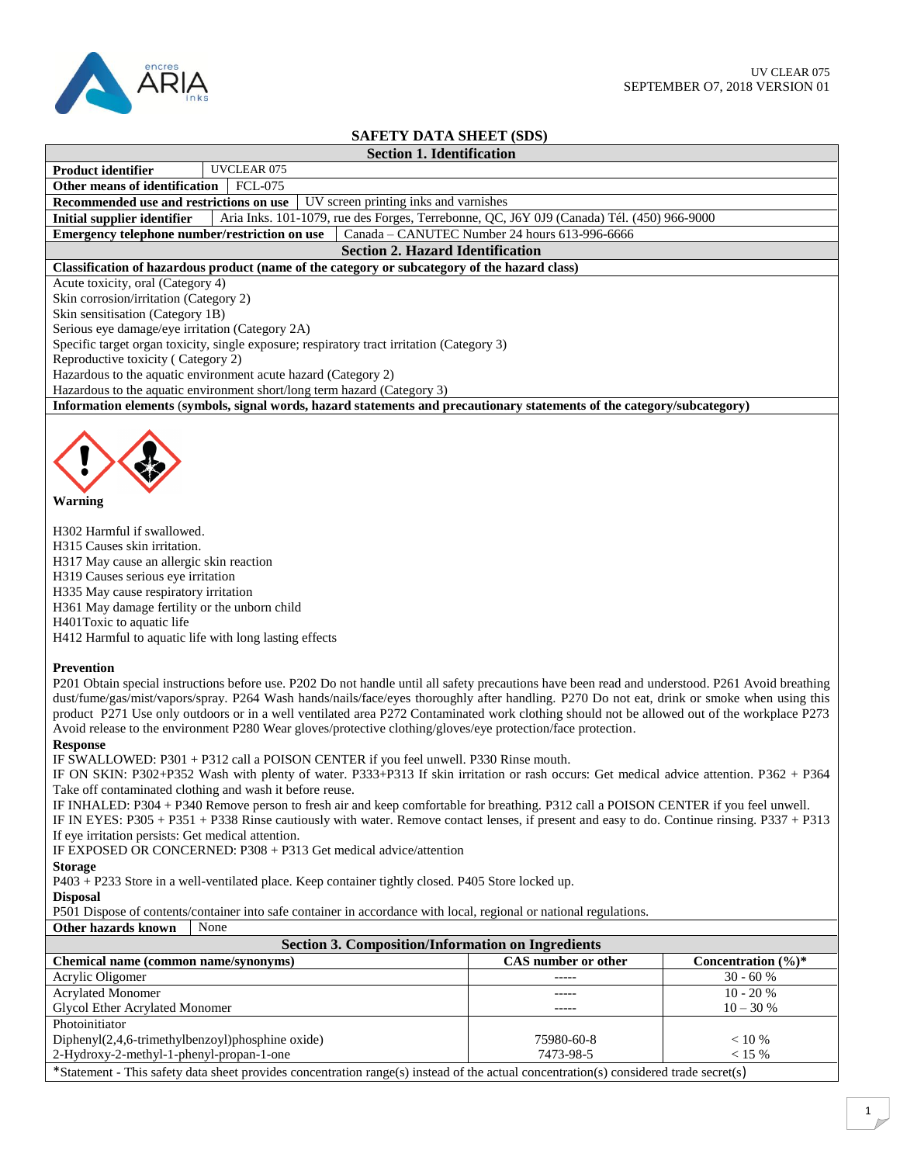

## **SAFETY DATA SHEET (SDS)**

| SAFETY DATA SHEET (SDS)                                                                                                                                                                                                                                                                                                                                                                                                                                                                                                                                                                                                                                                                                                                                                                                                                                                                                                                                                                                                                                                                                                                                                                                                                                                                                                                                                                                                                                                                                                      |                                               |                    |  |  |
|------------------------------------------------------------------------------------------------------------------------------------------------------------------------------------------------------------------------------------------------------------------------------------------------------------------------------------------------------------------------------------------------------------------------------------------------------------------------------------------------------------------------------------------------------------------------------------------------------------------------------------------------------------------------------------------------------------------------------------------------------------------------------------------------------------------------------------------------------------------------------------------------------------------------------------------------------------------------------------------------------------------------------------------------------------------------------------------------------------------------------------------------------------------------------------------------------------------------------------------------------------------------------------------------------------------------------------------------------------------------------------------------------------------------------------------------------------------------------------------------------------------------------|-----------------------------------------------|--------------------|--|--|
| <b>Section 1. Identification</b>                                                                                                                                                                                                                                                                                                                                                                                                                                                                                                                                                                                                                                                                                                                                                                                                                                                                                                                                                                                                                                                                                                                                                                                                                                                                                                                                                                                                                                                                                             |                                               |                    |  |  |
| UVCLEAR 075<br>Product identifier                                                                                                                                                                                                                                                                                                                                                                                                                                                                                                                                                                                                                                                                                                                                                                                                                                                                                                                                                                                                                                                                                                                                                                                                                                                                                                                                                                                                                                                                                            |                                               |                    |  |  |
| Other means of identification<br><b>FCL-075</b>                                                                                                                                                                                                                                                                                                                                                                                                                                                                                                                                                                                                                                                                                                                                                                                                                                                                                                                                                                                                                                                                                                                                                                                                                                                                                                                                                                                                                                                                              |                                               |                    |  |  |
| UV screen printing inks and varnishes<br>Recommended use and restrictions on use                                                                                                                                                                                                                                                                                                                                                                                                                                                                                                                                                                                                                                                                                                                                                                                                                                                                                                                                                                                                                                                                                                                                                                                                                                                                                                                                                                                                                                             |                                               |                    |  |  |
| Aria Inks. 101-1079, rue des Forges, Terrebonne, QC, J6Y 0J9 (Canada) Tél. (450) 966-9000<br><b>Initial supplier identifier</b>                                                                                                                                                                                                                                                                                                                                                                                                                                                                                                                                                                                                                                                                                                                                                                                                                                                                                                                                                                                                                                                                                                                                                                                                                                                                                                                                                                                              |                                               |                    |  |  |
| Emergency telephone number/restriction on use                                                                                                                                                                                                                                                                                                                                                                                                                                                                                                                                                                                                                                                                                                                                                                                                                                                                                                                                                                                                                                                                                                                                                                                                                                                                                                                                                                                                                                                                                | Canada - CANUTEC Number 24 hours 613-996-6666 |                    |  |  |
| <b>Section 2. Hazard Identification</b>                                                                                                                                                                                                                                                                                                                                                                                                                                                                                                                                                                                                                                                                                                                                                                                                                                                                                                                                                                                                                                                                                                                                                                                                                                                                                                                                                                                                                                                                                      |                                               |                    |  |  |
| Classification of hazardous product (name of the category or subcategory of the hazard class)                                                                                                                                                                                                                                                                                                                                                                                                                                                                                                                                                                                                                                                                                                                                                                                                                                                                                                                                                                                                                                                                                                                                                                                                                                                                                                                                                                                                                                |                                               |                    |  |  |
| Acute toxicity, oral (Category 4)                                                                                                                                                                                                                                                                                                                                                                                                                                                                                                                                                                                                                                                                                                                                                                                                                                                                                                                                                                                                                                                                                                                                                                                                                                                                                                                                                                                                                                                                                            |                                               |                    |  |  |
| Skin corrosion/irritation (Category 2)                                                                                                                                                                                                                                                                                                                                                                                                                                                                                                                                                                                                                                                                                                                                                                                                                                                                                                                                                                                                                                                                                                                                                                                                                                                                                                                                                                                                                                                                                       |                                               |                    |  |  |
| Skin sensitisation (Category 1B)                                                                                                                                                                                                                                                                                                                                                                                                                                                                                                                                                                                                                                                                                                                                                                                                                                                                                                                                                                                                                                                                                                                                                                                                                                                                                                                                                                                                                                                                                             |                                               |                    |  |  |
| Serious eye damage/eye irritation (Category 2A)                                                                                                                                                                                                                                                                                                                                                                                                                                                                                                                                                                                                                                                                                                                                                                                                                                                                                                                                                                                                                                                                                                                                                                                                                                                                                                                                                                                                                                                                              |                                               |                    |  |  |
| Specific target organ toxicity, single exposure; respiratory tract irritation (Category 3)                                                                                                                                                                                                                                                                                                                                                                                                                                                                                                                                                                                                                                                                                                                                                                                                                                                                                                                                                                                                                                                                                                                                                                                                                                                                                                                                                                                                                                   |                                               |                    |  |  |
| Reproductive toxicity (Category 2)                                                                                                                                                                                                                                                                                                                                                                                                                                                                                                                                                                                                                                                                                                                                                                                                                                                                                                                                                                                                                                                                                                                                                                                                                                                                                                                                                                                                                                                                                           |                                               |                    |  |  |
| Hazardous to the aquatic environment acute hazard (Category 2)                                                                                                                                                                                                                                                                                                                                                                                                                                                                                                                                                                                                                                                                                                                                                                                                                                                                                                                                                                                                                                                                                                                                                                                                                                                                                                                                                                                                                                                               |                                               |                    |  |  |
| Hazardous to the aquatic environment short/long term hazard (Category 3)                                                                                                                                                                                                                                                                                                                                                                                                                                                                                                                                                                                                                                                                                                                                                                                                                                                                                                                                                                                                                                                                                                                                                                                                                                                                                                                                                                                                                                                     |                                               |                    |  |  |
| Information elements (symbols, signal words, hazard statements and precautionary statements of the category/subcategory)                                                                                                                                                                                                                                                                                                                                                                                                                                                                                                                                                                                                                                                                                                                                                                                                                                                                                                                                                                                                                                                                                                                                                                                                                                                                                                                                                                                                     |                                               |                    |  |  |
|                                                                                                                                                                                                                                                                                                                                                                                                                                                                                                                                                                                                                                                                                                                                                                                                                                                                                                                                                                                                                                                                                                                                                                                                                                                                                                                                                                                                                                                                                                                              |                                               |                    |  |  |
| <b>Warning</b><br>H302 Harmful if swallowed.<br>H315 Causes skin irritation.                                                                                                                                                                                                                                                                                                                                                                                                                                                                                                                                                                                                                                                                                                                                                                                                                                                                                                                                                                                                                                                                                                                                                                                                                                                                                                                                                                                                                                                 |                                               |                    |  |  |
| H317 May cause an allergic skin reaction<br>H319 Causes serious eye irritation<br>H335 May cause respiratory irritation<br>H361 May damage fertility or the unborn child<br>H401Toxic to aquatic life                                                                                                                                                                                                                                                                                                                                                                                                                                                                                                                                                                                                                                                                                                                                                                                                                                                                                                                                                                                                                                                                                                                                                                                                                                                                                                                        |                                               |                    |  |  |
| H412 Harmful to aquatic life with long lasting effects<br><b>Prevention</b><br>P201 Obtain special instructions before use. P202 Do not handle until all safety precautions have been read and understood. P261 Avoid breathing<br>dust/fume/gas/mist/vapors/spray. P264 Wash hands/nails/face/eyes thoroughly after handling. P270 Do not eat, drink or smoke when using this<br>product P271 Use only outdoors or in a well ventilated area P272 Contaminated work clothing should not be allowed out of the workplace P273<br>Avoid release to the environment P280 Wear gloves/protective clothing/gloves/eye protection/face protection.<br><b>Response</b><br>IF SWALLOWED: P301 + P312 call a POISON CENTER if you feel unwell. P330 Rinse mouth.<br>IF ON SKIN: P302+P352 Wash with plenty of water. P333+P313 If skin irritation or rash occurs: Get medical advice attention. P362 + P364<br>Take off contaminated clothing and wash it before reuse.<br>IF INHALED: P304 + P340 Remove person to fresh air and keep comfortable for breathing. P312 call a POISON CENTER if you feel unwell.<br>IF IN EYES: P305 + P351 + P338 Rinse cautiously with water. Remove contact lenses, if present and easy to do. Continue rinsing. P337 + P313<br>If eye irritation persists: Get medical attention.<br>IF EXPOSED OR CONCERNED: P308 + P313 Get medical advice/attention<br><b>Storage</b><br>P403 + P233 Store in a well-ventilated place. Keep container tightly closed. P405 Store locked up.<br><b>Disposal</b> |                                               |                    |  |  |
| P501 Dispose of contents/container into safe container in accordance with local, regional or national regulations.                                                                                                                                                                                                                                                                                                                                                                                                                                                                                                                                                                                                                                                                                                                                                                                                                                                                                                                                                                                                                                                                                                                                                                                                                                                                                                                                                                                                           |                                               |                    |  |  |
| Other hazards known<br>None                                                                                                                                                                                                                                                                                                                                                                                                                                                                                                                                                                                                                                                                                                                                                                                                                                                                                                                                                                                                                                                                                                                                                                                                                                                                                                                                                                                                                                                                                                  |                                               |                    |  |  |
| <b>Section 3. Composition/Information on Ingredients</b>                                                                                                                                                                                                                                                                                                                                                                                                                                                                                                                                                                                                                                                                                                                                                                                                                                                                                                                                                                                                                                                                                                                                                                                                                                                                                                                                                                                                                                                                     |                                               |                    |  |  |
| <b>Chemical name (common name/synonyms)</b>                                                                                                                                                                                                                                                                                                                                                                                                                                                                                                                                                                                                                                                                                                                                                                                                                                                                                                                                                                                                                                                                                                                                                                                                                                                                                                                                                                                                                                                                                  | CAS number or other                           | Concentration (%)* |  |  |
| Acrylic Oligomer                                                                                                                                                                                                                                                                                                                                                                                                                                                                                                                                                                                                                                                                                                                                                                                                                                                                                                                                                                                                                                                                                                                                                                                                                                                                                                                                                                                                                                                                                                             |                                               | $30 - 60 %$        |  |  |
| <b>Acrylated Monomer</b>                                                                                                                                                                                                                                                                                                                                                                                                                                                                                                                                                                                                                                                                                                                                                                                                                                                                                                                                                                                                                                                                                                                                                                                                                                                                                                                                                                                                                                                                                                     | -----                                         | $10 - 20 %$        |  |  |
| Glycol Ether Acrylated Monomer                                                                                                                                                                                                                                                                                                                                                                                                                                                                                                                                                                                                                                                                                                                                                                                                                                                                                                                                                                                                                                                                                                                                                                                                                                                                                                                                                                                                                                                                                               |                                               | $10 - 30 %$        |  |  |
| Photoinitiator                                                                                                                                                                                                                                                                                                                                                                                                                                                                                                                                                                                                                                                                                                                                                                                                                                                                                                                                                                                                                                                                                                                                                                                                                                                                                                                                                                                                                                                                                                               |                                               |                    |  |  |
| Diphenyl(2,4,6-trimethylbenzoyl)phosphine oxide)                                                                                                                                                                                                                                                                                                                                                                                                                                                                                                                                                                                                                                                                                                                                                                                                                                                                                                                                                                                                                                                                                                                                                                                                                                                                                                                                                                                                                                                                             | 75980-60-8                                    | < 10 %             |  |  |
| 2-Hydroxy-2-methyl-1-phenyl-propan-1-one                                                                                                                                                                                                                                                                                                                                                                                                                                                                                                                                                                                                                                                                                                                                                                                                                                                                                                                                                                                                                                                                                                                                                                                                                                                                                                                                                                                                                                                                                     | 7473-98-5                                     | < 15 %             |  |  |
|                                                                                                                                                                                                                                                                                                                                                                                                                                                                                                                                                                                                                                                                                                                                                                                                                                                                                                                                                                                                                                                                                                                                                                                                                                                                                                                                                                                                                                                                                                                              |                                               |                    |  |  |
| *Statement - This safety data sheet provides concentration range(s) instead of the actual concentration(s) considered trade secret(s)                                                                                                                                                                                                                                                                                                                                                                                                                                                                                                                                                                                                                                                                                                                                                                                                                                                                                                                                                                                                                                                                                                                                                                                                                                                                                                                                                                                        |                                               |                    |  |  |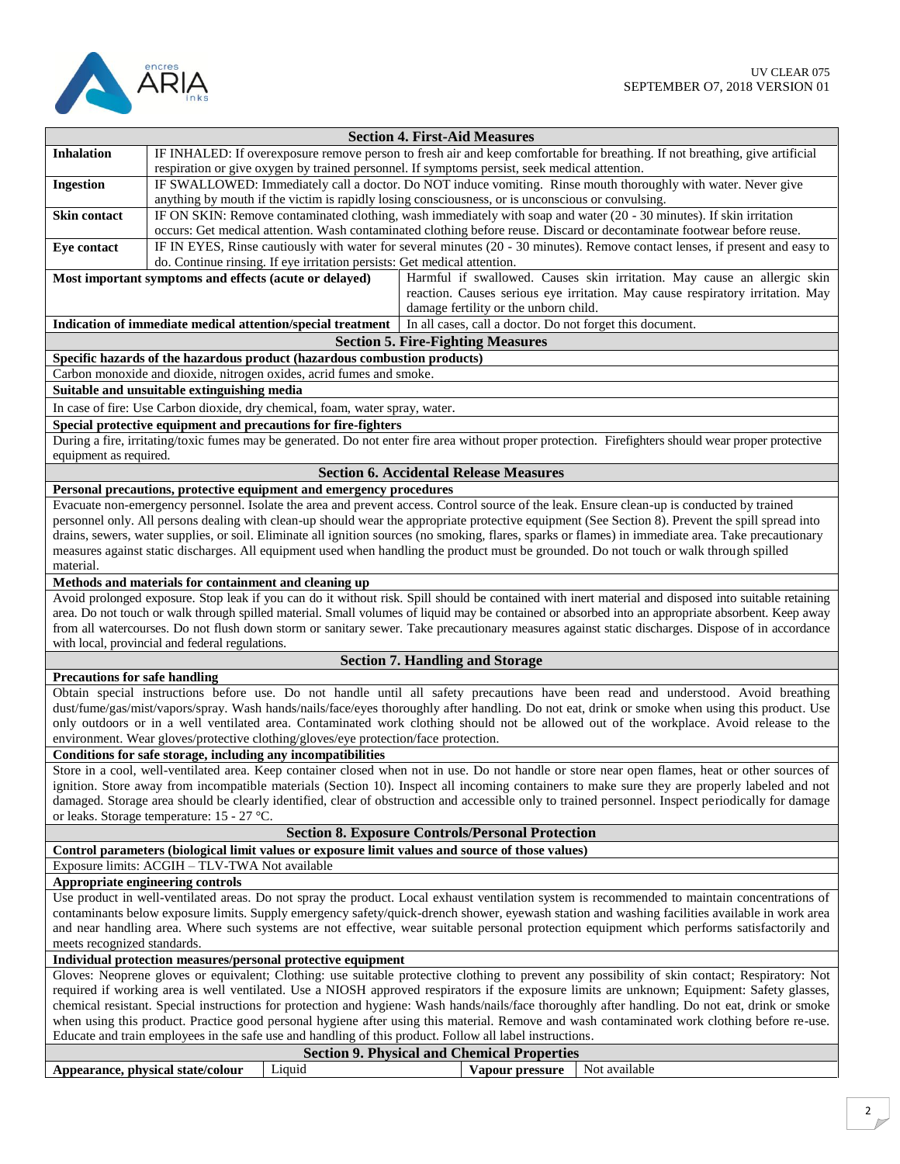

|                                                                                                                                                    | <b>Section 4. First-Aid Measures</b>                                                                                                                  |  |  |  |
|----------------------------------------------------------------------------------------------------------------------------------------------------|-------------------------------------------------------------------------------------------------------------------------------------------------------|--|--|--|
| <b>Inhalation</b>                                                                                                                                  | IF INHALED: If overexposure remove person to fresh air and keep comfortable for breathing. If not breathing, give artificial                          |  |  |  |
|                                                                                                                                                    | respiration or give oxygen by trained personnel. If symptoms persist, seek medical attention.                                                         |  |  |  |
| <b>Ingestion</b>                                                                                                                                   | IF SWALLOWED: Immediately call a doctor. Do NOT induce vomiting. Rinse mouth thoroughly with water. Never give                                        |  |  |  |
|                                                                                                                                                    | anything by mouth if the victim is rapidly losing consciousness, or is unconscious or convulsing.                                                     |  |  |  |
| Skin contact                                                                                                                                       | IF ON SKIN: Remove contaminated clothing, wash immediately with soap and water (20 - 30 minutes). If skin irritation                                  |  |  |  |
|                                                                                                                                                    | occurs: Get medical attention. Wash contaminated clothing before reuse. Discard or decontaminate footwear before reuse.                               |  |  |  |
| <b>Eye contact</b>                                                                                                                                 | IF IN EYES, Rinse cautiously with water for several minutes (20 - 30 minutes). Remove contact lenses, if present and easy to                          |  |  |  |
|                                                                                                                                                    | do. Continue rinsing. If eye irritation persists: Get medical attention.                                                                              |  |  |  |
|                                                                                                                                                    | Most important symptoms and effects (acute or delayed)<br>Harmful if swallowed. Causes skin irritation. May cause an allergic skin                    |  |  |  |
|                                                                                                                                                    | reaction. Causes serious eye irritation. May cause respiratory irritation. May                                                                        |  |  |  |
|                                                                                                                                                    | damage fertility or the unborn child.                                                                                                                 |  |  |  |
|                                                                                                                                                    | In all cases, call a doctor. Do not forget this document.<br>Indication of immediate medical attention/special treatment                              |  |  |  |
|                                                                                                                                                    | <b>Section 5. Fire-Fighting Measures</b>                                                                                                              |  |  |  |
|                                                                                                                                                    | Specific hazards of the hazardous product (hazardous combustion products)                                                                             |  |  |  |
|                                                                                                                                                    | Carbon monoxide and dioxide, nitrogen oxides, acrid fumes and smoke.                                                                                  |  |  |  |
|                                                                                                                                                    | Suitable and unsuitable extinguishing media                                                                                                           |  |  |  |
|                                                                                                                                                    | In case of fire: Use Carbon dioxide, dry chemical, foam, water spray, water.                                                                          |  |  |  |
|                                                                                                                                                    | Special protective equipment and precautions for fire-fighters                                                                                        |  |  |  |
|                                                                                                                                                    | During a fire, irritating/toxic fumes may be generated. Do not enter fire area without proper protection. Firefighters should wear proper protective  |  |  |  |
| equipment as required.                                                                                                                             |                                                                                                                                                       |  |  |  |
|                                                                                                                                                    | <b>Section 6. Accidental Release Measures</b>                                                                                                         |  |  |  |
|                                                                                                                                                    | Personal precautions, protective equipment and emergency procedures                                                                                   |  |  |  |
|                                                                                                                                                    | Evacuate non-emergency personnel. Isolate the area and prevent access. Control source of the leak. Ensure clean-up is conducted by trained            |  |  |  |
|                                                                                                                                                    | personnel only. All persons dealing with clean-up should wear the appropriate protective equipment (See Section 8). Prevent the spill spread into     |  |  |  |
|                                                                                                                                                    | drains, sewers, water supplies, or soil. Eliminate all ignition sources (no smoking, flares, sparks or flames) in immediate area. Take precautionary  |  |  |  |
|                                                                                                                                                    | measures against static discharges. All equipment used when handling the product must be grounded. Do not touch or walk through spilled               |  |  |  |
| material.                                                                                                                                          |                                                                                                                                                       |  |  |  |
|                                                                                                                                                    | Methods and materials for containment and cleaning up                                                                                                 |  |  |  |
|                                                                                                                                                    | Avoid prolonged exposure. Stop leak if you can do it without risk. Spill should be contained with inert material and disposed into suitable retaining |  |  |  |
|                                                                                                                                                    | area. Do not touch or walk through spilled material. Small volumes of liquid may be contained or absorbed into an appropriate absorbent. Keep away    |  |  |  |
|                                                                                                                                                    | from all watercourses. Do not flush down storm or sanitary sewer. Take precautionary measures against static discharges. Dispose of in accordance     |  |  |  |
|                                                                                                                                                    | with local, provincial and federal regulations.                                                                                                       |  |  |  |
|                                                                                                                                                    | <b>Section 7. Handling and Storage</b>                                                                                                                |  |  |  |
| <b>Precautions for safe handling</b>                                                                                                               |                                                                                                                                                       |  |  |  |
|                                                                                                                                                    | Obtain special instructions before use. Do not handle until all safety precautions have been read and understood. Avoid breathing                     |  |  |  |
|                                                                                                                                                    | dust/fume/gas/mist/vapors/spray. Wash hands/nails/face/eyes thoroughly after handling. Do not eat, drink or smoke when using this product. Use        |  |  |  |
|                                                                                                                                                    | only outdoors or in a well ventilated area. Contaminated work clothing should not be allowed out of the workplace. Avoid release to the               |  |  |  |
|                                                                                                                                                    | environment. Wear gloves/protective clothing/gloves/eye protection/face protection.                                                                   |  |  |  |
|                                                                                                                                                    | Conditions for safe storage, including any incompatibilities                                                                                          |  |  |  |
|                                                                                                                                                    | Store in a cool, well-ventilated area. Keep container closed when not in use. Do not handle or store near open flames, heat or other sources of       |  |  |  |
|                                                                                                                                                    | ignition. Store away from incompatible materials (Section 10). Inspect all incoming containers to make sure they are properly labeled and not         |  |  |  |
| damaged. Storage area should be clearly identified, clear of obstruction and accessible only to trained personnel. Inspect periodically for damage |                                                                                                                                                       |  |  |  |
| or leaks. Storage temperature: $15 - 27$ °C.                                                                                                       |                                                                                                                                                       |  |  |  |
| <b>Section 8. Exposure Controls/Personal Protection</b>                                                                                            |                                                                                                                                                       |  |  |  |
| Control parameters (biological limit values or exposure limit values and source of those values)                                                   |                                                                                                                                                       |  |  |  |
|                                                                                                                                                    | Exposure limits: ACGIH - TLV-TWA Not available                                                                                                        |  |  |  |
|                                                                                                                                                    | Appropriate engineering controls                                                                                                                      |  |  |  |
| Use product in well-ventilated areas. Do not spray the product. Local exhaust ventilation system is recommended to maintain concentrations of      |                                                                                                                                                       |  |  |  |
| contaminants below exposure limits. Supply emergency safety/quick-drench shower, eyewash station and washing facilities available in work area     |                                                                                                                                                       |  |  |  |
| and near handling area. Where such systems are not effective, wear suitable personal protection equipment which performs satisfactorily and        |                                                                                                                                                       |  |  |  |
| meets recognized standards.                                                                                                                        |                                                                                                                                                       |  |  |  |
| Individual protection measures/personal protective equipment                                                                                       |                                                                                                                                                       |  |  |  |
| Gloves: Neoprene gloves or equivalent; Clothing: use suitable protective clothing to prevent any possibility of skin contact; Respiratory: Not     |                                                                                                                                                       |  |  |  |
|                                                                                                                                                    | required if working area is well ventilated. Use a NIOSH approved respirators if the exposure limits are unknown; Equipment: Safety glasses,          |  |  |  |
|                                                                                                                                                    | chemical resistant. Special instructions for protection and hygiene: Wash hands/nails/face thoroughly after handling. Do not eat, drink or smoke      |  |  |  |
|                                                                                                                                                    | when using this product. Practice good personal hygiene after using this material. Remove and wash contaminated work clothing before re-use.          |  |  |  |
|                                                                                                                                                    | Educate and train employees in the safe use and handling of this product. Follow all label instructions.                                              |  |  |  |
|                                                                                                                                                    | <b>Section 9. Physical and Chemical Properties</b>                                                                                                    |  |  |  |
|                                                                                                                                                    | Not available<br>Liquid<br>Appearance, physical state/colour<br>Vapour pressure                                                                       |  |  |  |
|                                                                                                                                                    |                                                                                                                                                       |  |  |  |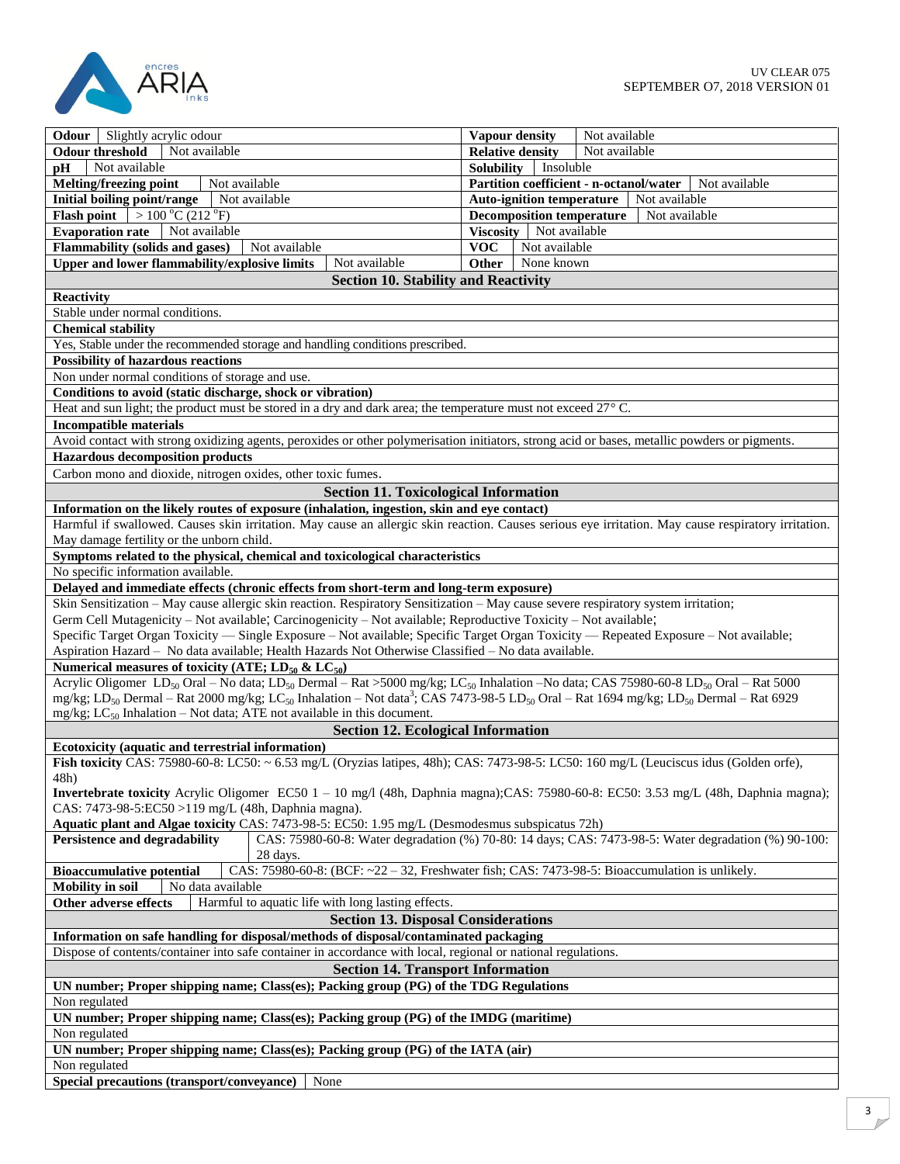

| <b>Odour</b> Slightly acrylic odour                                                                                                                                                             | Not available                                                                                        |  |  |  |
|-------------------------------------------------------------------------------------------------------------------------------------------------------------------------------------------------|------------------------------------------------------------------------------------------------------|--|--|--|
|                                                                                                                                                                                                 | Vapour density                                                                                       |  |  |  |
| Not available<br><b>Odour threshold</b>                                                                                                                                                         | Not available<br><b>Relative density</b>                                                             |  |  |  |
| Not available<br><b>DH</b>                                                                                                                                                                      | <b>Solubility</b><br>Insoluble                                                                       |  |  |  |
| <b>Melting/freezing point</b><br>Not available                                                                                                                                                  | Partition coefficient - n-octanol/water<br>Not available                                             |  |  |  |
| Initial boiling point/range<br>Not available                                                                                                                                                    | Auto-ignition temperature<br>Not available                                                           |  |  |  |
| <b>Flash point</b> $> 100 °C (212 °F)$                                                                                                                                                          | <b>Decomposition temperature</b><br>Not available                                                    |  |  |  |
| <b>Evaporation rate</b><br>Not available                                                                                                                                                        | Not available<br>Viscosity                                                                           |  |  |  |
| Flammability (solids and gases)<br>Not available                                                                                                                                                | <b>VOC</b><br>Not available                                                                          |  |  |  |
| Upper and lower flammability/explosive limits<br>Not available                                                                                                                                  | None known<br><b>Other</b>                                                                           |  |  |  |
| <b>Section 10. Stability and Reactivity</b>                                                                                                                                                     |                                                                                                      |  |  |  |
| Reactivity                                                                                                                                                                                      |                                                                                                      |  |  |  |
| Stable under normal conditions.                                                                                                                                                                 |                                                                                                      |  |  |  |
| <b>Chemical stability</b>                                                                                                                                                                       |                                                                                                      |  |  |  |
| Yes, Stable under the recommended storage and handling conditions prescribed.                                                                                                                   |                                                                                                      |  |  |  |
| <b>Possibility of hazardous reactions</b>                                                                                                                                                       |                                                                                                      |  |  |  |
| Non under normal conditions of storage and use.                                                                                                                                                 |                                                                                                      |  |  |  |
| Conditions to avoid (static discharge, shock or vibration)                                                                                                                                      |                                                                                                      |  |  |  |
| Heat and sun light; the product must be stored in a dry and dark area; the temperature must not exceed $27^{\circ}$ C.                                                                          |                                                                                                      |  |  |  |
| <b>Incompatible materials</b>                                                                                                                                                                   |                                                                                                      |  |  |  |
| Avoid contact with strong oxidizing agents, peroxides or other polymerisation initiators, strong acid or bases, metallic powders or pigments.                                                   |                                                                                                      |  |  |  |
| <b>Hazardous decomposition products</b>                                                                                                                                                         |                                                                                                      |  |  |  |
| Carbon mono and dioxide, nitrogen oxides, other toxic fumes.                                                                                                                                    |                                                                                                      |  |  |  |
|                                                                                                                                                                                                 |                                                                                                      |  |  |  |
| <b>Section 11. Toxicological Information</b>                                                                                                                                                    |                                                                                                      |  |  |  |
| Information on the likely routes of exposure (inhalation, ingestion, skin and eye contact)                                                                                                      |                                                                                                      |  |  |  |
| Harmful if swallowed. Causes skin irritation. May cause an allergic skin reaction. Causes serious eye irritation. May cause respiratory irritation.                                             |                                                                                                      |  |  |  |
| May damage fertility or the unborn child.                                                                                                                                                       |                                                                                                      |  |  |  |
| Symptoms related to the physical, chemical and toxicological characteristics                                                                                                                    |                                                                                                      |  |  |  |
| No specific information available.                                                                                                                                                              |                                                                                                      |  |  |  |
| Delayed and immediate effects (chronic effects from short-term and long-term exposure)                                                                                                          |                                                                                                      |  |  |  |
| Skin Sensitization - May cause allergic skin reaction. Respiratory Sensitization - May cause severe respiratory system irritation;                                                              |                                                                                                      |  |  |  |
| Germ Cell Mutagenicity – Not available; Carcinogenicity – Not available; Reproductive Toxicity – Not available;                                                                                 |                                                                                                      |  |  |  |
| Specific Target Organ Toxicity — Single Exposure - Not available; Specific Target Organ Toxicity — Repeated Exposure - Not available;                                                           |                                                                                                      |  |  |  |
| Aspiration Hazard - No data available; Health Hazards Not Otherwise Classified - No data available.                                                                                             |                                                                                                      |  |  |  |
| Numerical measures of toxicity (ATE; $LD_{50}$ & $LC_{50}$ )                                                                                                                                    |                                                                                                      |  |  |  |
| Acrylic Oligomer LD <sub>50</sub> Oral – No data; LD <sub>50</sub> Dermal – Rat > 5000 mg/kg; LC <sub>50</sub> Inhalation – No data; CAS 75980-60-8 LD <sub>50</sub> Oral – Rat 5000            |                                                                                                      |  |  |  |
| mg/kg; LD <sub>50</sub> Dermal – Rat 2000 mg/kg; LC <sub>50</sub> Inhalation – Not data <sup>3</sup> ; CAS 7473-98-5 LD <sub>50</sub> Oral – Rat 1694 mg/kg; LD <sub>50</sub> Dermal – Rat 6929 |                                                                                                      |  |  |  |
| mg/kg; LC <sub>50</sub> Inhalation – Not data; ATE not available in this document.                                                                                                              |                                                                                                      |  |  |  |
| <b>Section 12. Ecological Information</b>                                                                                                                                                       |                                                                                                      |  |  |  |
| Ecotoxicity (aquatic and terrestrial information)                                                                                                                                               |                                                                                                      |  |  |  |
| Fish toxicity CAS: 75980-60-8: LC50: ~ 6.53 mg/L (Oryzias latipes, 48h); CAS: 7473-98-5: LC50: 160 mg/L (Leuciscus idus (Golden orfe),                                                          |                                                                                                      |  |  |  |
| 48h)                                                                                                                                                                                            |                                                                                                      |  |  |  |
| <b>Invertebrate toxicity</b> Acrylic Oligomer EC50 $1 - 10$ mg/l (48h, Daphnia magna);CAS: 75980-60-8: EC50: 3.53 mg/L (48h, Daphnia magna);                                                    |                                                                                                      |  |  |  |
| CAS: 7473-98-5:EC50 >119 mg/L (48h, Daphnia magna).                                                                                                                                             |                                                                                                      |  |  |  |
| Aquatic plant and Algae toxicity CAS: 7473-98-5: EC50: 1.95 mg/L (Desmodesmus subspicatus 72h)                                                                                                  |                                                                                                      |  |  |  |
| Persistence and degradability                                                                                                                                                                   | CAS: 75980-60-8: Water degradation (%) 70-80: 14 days; CAS: 7473-98-5: Water degradation (%) 90-100: |  |  |  |
| 28 days.                                                                                                                                                                                        |                                                                                                      |  |  |  |
| <b>Bioaccumulative potential</b>                                                                                                                                                                | CAS: 75980-60-8: (BCF: $\sim$ 22 - 32, Freshwater fish; CAS: 7473-98-5: Bioaccumulation is unlikely. |  |  |  |
| No data available<br><b>Mobility</b> in soil                                                                                                                                                    |                                                                                                      |  |  |  |
| Other adverse effects<br>Harmful to aquatic life with long lasting effects.                                                                                                                     |                                                                                                      |  |  |  |
| <b>Section 13. Disposal Considerations</b>                                                                                                                                                      |                                                                                                      |  |  |  |
| Information on safe handling for disposal/methods of disposal/contaminated packaging                                                                                                            |                                                                                                      |  |  |  |
| Dispose of contents/container into safe container in accordance with local, regional or national regulations.                                                                                   |                                                                                                      |  |  |  |
| <b>Section 14. Transport Information</b>                                                                                                                                                        |                                                                                                      |  |  |  |
|                                                                                                                                                                                                 |                                                                                                      |  |  |  |
| UN number; Proper shipping name; Class(es); Packing group (PG) of the TDG Regulations                                                                                                           |                                                                                                      |  |  |  |
| Non regulated                                                                                                                                                                                   |                                                                                                      |  |  |  |
| UN number; Proper shipping name; Class(es); Packing group (PG) of the IMDG (maritime)                                                                                                           |                                                                                                      |  |  |  |
| Non regulated                                                                                                                                                                                   |                                                                                                      |  |  |  |
| UN number; Proper shipping name; Class(es); Packing group (PG) of the IATA (air)                                                                                                                |                                                                                                      |  |  |  |
| Non regulated                                                                                                                                                                                   |                                                                                                      |  |  |  |
| Special precautions (transport/conveyance)<br>None                                                                                                                                              |                                                                                                      |  |  |  |